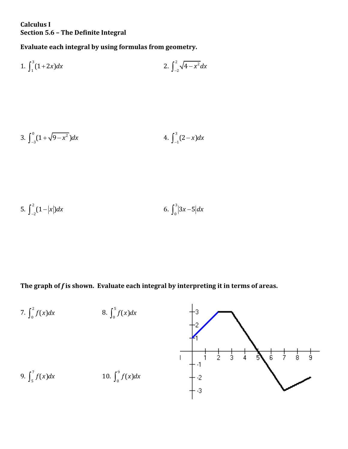## **Calculus I Section 5.6 – The Definite Integral**

**Evaluate each integral by using formulas from geometry.**

1. 
$$
\int_{1}^{3} (1+2x) dx
$$
 2. 
$$
\int_{-2}^{2} \sqrt{4-x^2} dx
$$

3. 
$$
\int_{-3}^{0} (1 + \sqrt{9 - x^2}) dx
$$
 4. 
$$
\int_{-1}^{3} (2 - x) dx
$$

5. 
$$
\int_{-2}^{2} (1-|x|) dx
$$
 6. 
$$
\int_{0}^{3} |3x-5| dx
$$

**The graph of** *f* **is shown. Evaluate each integral by interpreting it in terms of areas.**

7. 
$$
\int_{0}^{2} f(x)dx
$$
  
\n8.  $\int_{0}^{5} f(x)dx$   
\n9.  $\int_{5}^{7} f(x)dx$   
\n10.  $\int_{0}^{9} f(x)dx$   
\n11.  $\int_{-3}^{1} \frac{1}{2}dx$   
\n12.  $\int_{-3}^{1}$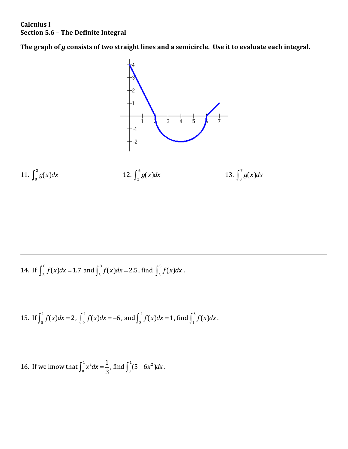## **Calculus I Section 5.6 – The Definite Integral**

The graph of *g* consists of two straight lines and a semicircle. Use it to evaluate each integral.



14. If  $\int_{0}^{8}$  $\int_{2}^{8} f(x) dx = 1.7$  and  $\int_{5}^{8}$  $\int_{5}^{8} f(x) dx = 2.5$ , find  $\int_{2}^{5}$  $\int_2^{\infty} f(x) dx$ .

15. If 
$$
\int_0^1 f(x)dx = 2
$$
,  $\int_0^4 f(x)dx = -6$ , and  $\int_3^4 f(x)dx = 1$ , find  $\int_1^3 f(x)dx$ .

16. If we know that  $\int_{1}^{1} x^2 dx$ 0 1  $\int_0^1 x^2 dx = \frac{1}{3}$ , find  $\int_0^1 (5 - 6x^2)$  $\int_0^1 (5-6x^2) dx$ .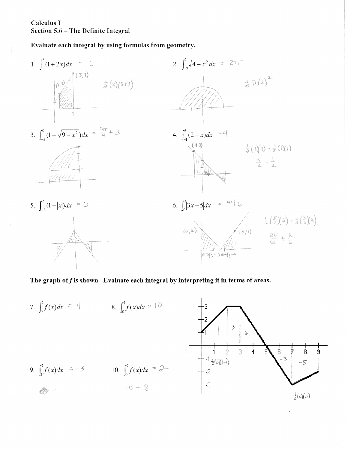## Calculus I Section 5.6 - The Definite Integral

Evaluate each integral by using formulas from geometry.



The graph of  $f$  is shown. Evaluate each integral by interpreting it in terms of areas.